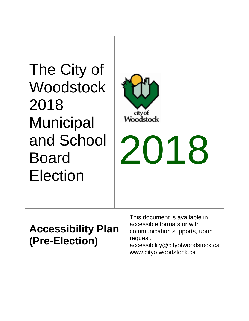The City of **Woodstock** 2018 **Municipal** and School Board Election



# 2018

## **Accessibility Plan (Pre-Election)**

This document is available in accessible formats or with communication supports, upon request.

accessibility@cityofwoodstock.ca www.cityofwoodstock.ca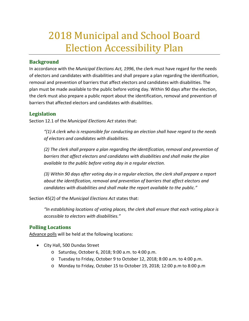## 2018 Municipal and School Board Election Accessibility Plan

### **Background**

In accordance with the *Municipal Elections Act, 1996*, the clerk must have regard for the needs of electors and candidates with disabilities and shall prepare a plan regarding the identification, removal and prevention of barriers that affect electors and candidates with disabilities. The plan must be made available to the public before voting day. Within 90 days after the election, the clerk must also prepare a public report about the identification, removal and prevention of barriers that affected electors and candidates with disabilities.

## **Legislation**

Section 12.1 of the *Municipal Elections Act* states that:

*"(1) A clerk who is responsible for conducting an election shall have regard to the needs of electors and candidates with disabilities.*

*(2) The clerk shall prepare a plan regarding the identification, removal and prevention of barriers that affect electors and candidates with disabilities and shall make the plan available to the public before voting day in a regular election.*

*(3) Within 90 days after voting day in a regular election, the clerk shall prepare a report about the identification, removal and prevention of barriers that affect electors and candidates with disabilities and shall make the report available to the public."*

Section 45(2) of the *Municipal Elections Act* states that:

*"In establishing locations of voting places, the clerk shall ensure that each voting place is accessible to electors with disabilities."*

#### **Polling Locations**

Advance polls will be held at the following locations:

- City Hall, 500 Dundas Street
	- o Saturday, October 6, 2018; 9:00 a.m. to 4:00 p.m.
	- o Tuesday to Friday, October 9 to October 12, 2018; 8:00 a.m. to 4:00 p.m.
	- o Monday to Friday, October 15 to October 19, 2018; 12:00 p.m to 8:00 p.m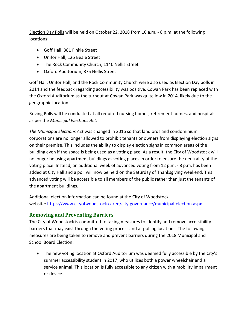Election Day Polls will be held on October 22, 2018 from 10 a.m. - 8 p.m. at the following locations:

- Goff Hall, 381 Finkle Street
- Unifor Hall, 126 Beale Street
- The Rock Community Church, 1140 Nellis Street
- Oxford Auditorium, 875 Nellis Street

Goff Hall, Unifor Hall, and the Rock Community Church were also used as Election Day polls in 2014 and the feedback regarding accessibility was positive. Cowan Park has been replaced with the Oxford Auditorium as the turnout at Cowan Park was quite low in 2014, likely due to the geographic location.

Roving Polls will be conducted at all required nursing homes, retirement homes, and hospitals as per the *Municipal Elections Act*.

*The Municipal Elections Act* was changed in 2016 so that landlords and condominium corporations are no longer allowed to prohibit tenants or owners from displaying election signs on their premise. This includes the ability to display election signs in common areas of the building even if the space is being used as a voting place. As a result, the City of Woodstock will no longer be using apartment buildings as voting places in order to ensure the neutrality of the voting place. Instead, an additional week of advanced voting from 12 p.m. - 8 p.m. has been added at City Hall and a poll will now be held on the Saturday of Thanksgiving weekend. This advanced voting will be accessible to all members of the public rather than just the tenants of the apartment buildings.

Additional election information can be found at the City of Woodstock website:<https://www.cityofwoodstock.ca/en/city-governance/municipal-election.aspx>

#### **Removing and Preventing Barriers**

The City of Woodstock is committed to taking measures to identify and remove accessibility barriers that may exist through the voting process and at polling locations. The following measures are being taken to remove and prevent barriers during the 2018 Municipal and School Board Election:

• The new voting location at Oxford Auditorium was deemed fully accessible by the City's summer accessibility student in 2017, who utilizes both a power wheelchair and a service animal. This location is fully accessible to any citizen with a mobility impairment or device.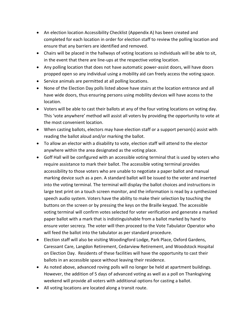- An election location Accessibility Checklist (Appendix A) has been created and completed for each location in order for election staff to review the polling location and ensure that any barriers are identified and removed.
- Chairs will be placed in the hallways of voting locations so individuals will be able to sit, in the event that there are line-ups at the respective voting location.
- Any polling location that does not have automatic power-assist doors, will have doors propped open so any individual using a mobility aid can freely access the voting space.
- Service animals are permitted at all polling locations.
- None of the Election Day polls listed above have stairs at the location entrance and all have wide doors, thus ensuring persons using mobility devices will have access to the location.
- Voters will be able to cast their ballots at any of the four voting locations on voting day. This 'vote anywhere' method will assist all voters by providing the opportunity to vote at the most convenient location.
- When casting ballots, electors may have election staff or a support person(s) assist with reading the ballot aloud and/or marking the ballot.
- To allow an elector with a disability to vote, election staff will attend to the elector anywhere within the area designated as the voting place.
- Goff Hall will be configured with an accessible voting terminal that is used by voters who require assistance to mark their ballot. The accessible voting terminal provides accessibility to those voters who are unable to negotiate a paper ballot and manual marking device such as a pen. A standard ballot will be issued to the voter and inserted into the voting terminal. The terminal will display the ballot choices and instructions in large text print on a touch screen monitor, and the information is read by a synthesized speech audio system. Voters have the ability to make their selection by touching the buttons on the screen or by pressing the keys on the Braille keypad. The accessible voting terminal will confirm votes selected for voter verification and generate a marked paper ballot with a mark that is indistinguishable from a ballot marked by hand to ensure voter secrecy. The voter will then proceed to the Vote Tabulator Operator who will feed the ballot into the tabulator as per standard procedure.
- Election staff will also be visiting Woodingford Lodge, Park Place, Oxford Gardens, Caressant Care, Langdon Retirement, Cedarview Retirement, and Woodstock Hospital on Election Day. Residents of these facilities will have the opportunity to cast their ballots in an accessible space without leaving their residence.
- As noted above, advanced roving polls will no longer be held at apartment buildings. However, the addition of 5 days of advanced voting as well as a poll on Thanksgiving weekend will provide all voters with additional options for casting a ballot.
- All voting locations are located along a transit route.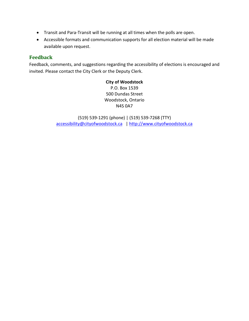- Transit and Para-Transit will be running at all times when the polls are open.
- Accessible formats and communication supports for all election material will be made available upon request.

#### **Feedback**

Feedback, comments, and suggestions regarding the accessibility of elections is encouraged and invited. Please contact the City Clerk or the Deputy Clerk.

> **City of Woodstock** P.O. Box 1539 500 Dundas Street Woodstock, Ontario N4S 0A7

(519) 539-1291 (phone) | (519) 539-7268 (TTY) [accessibility@cityofwoodstock.ca](mailto:accessibility@cityofwoodstock.ca) [| http://www.cityofwoodstock.ca](http://www.cityofwoodstock.ca/)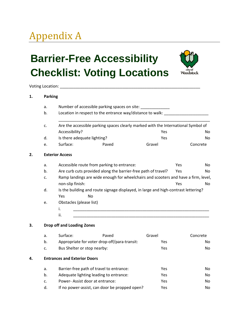# Appendix A

# **Barrier-Free Accessibility Checklist: Voting Locations**



Voting Location: \_\_\_\_\_\_\_\_\_\_\_\_\_\_\_\_\_\_\_\_\_\_\_\_\_\_\_\_\_\_\_\_\_\_\_\_\_\_\_\_\_\_\_\_\_\_\_\_\_\_\_\_\_\_\_\_\_\_\_\_\_\_\_

#### **1. Parking**

|    | a.                     | Number of accessible parking spaces on site:                                                                                                   |       |        |            |          |  |  |
|----|------------------------|------------------------------------------------------------------------------------------------------------------------------------------------|-------|--------|------------|----------|--|--|
|    | b.                     | Location in respect to the entrance way/distance to walk:<br>Are the accessible parking spaces clearly marked with the International Symbol of |       |        |            |          |  |  |
|    | c.                     |                                                                                                                                                |       |        |            |          |  |  |
|    |                        | Accessibility?                                                                                                                                 |       | Yes    |            | No       |  |  |
|    | d.                     | Is there adequate lighting?                                                                                                                    |       | Yes    |            | No.      |  |  |
|    | e.                     | Surface:                                                                                                                                       | Paved | Gravel |            | Concrete |  |  |
| 2. | <b>Exterior Access</b> |                                                                                                                                                |       |        |            |          |  |  |
|    | a.                     | Accessible route from parking to entrance:                                                                                                     |       |        | Yes        | No       |  |  |
|    | b.                     | Are curb cuts provided along the barrier-free path of travel?                                                                                  |       |        | Yes        | No       |  |  |
|    | c.                     | Ramp landings are wide enough for wheelchairs and scooters and have a firm, level,                                                             |       |        |            |          |  |  |
|    |                        | non-slip finish:                                                                                                                               |       |        | <b>Yes</b> | No.      |  |  |
|    | d.                     | Is the building and route signage displayed, in large and high-contrast lettering?                                                             |       |        |            |          |  |  |
|    |                        | Yes<br>No                                                                                                                                      |       |        |            |          |  |  |
|    | e.                     | Obstacles (please list)                                                                                                                        |       |        |            |          |  |  |
|    |                        | i.                                                                                                                                             |       |        |            |          |  |  |
|    |                        | ii.                                                                                                                                            |       |        |            |          |  |  |

#### **3. Drop off and Loading Zones**

|    | a. | Surface:                                     | Paved                                         | Gravel     | Concrete |
|----|----|----------------------------------------------|-----------------------------------------------|------------|----------|
|    | b. | Appropriate for voter drop-off/para-transit: |                                               | Yes        | No.      |
|    | c. | Bus Shelter or stop nearby:                  |                                               | <b>Yes</b> | No.      |
| 4. |    | <b>Entrances and Exterior Doors</b>          |                                               |            |          |
|    | a. |                                              | Barrier-free path of travel to entrance:      | Yes        | No.      |
|    | b. |                                              | Adequate lighting leading to entrance:        | Yes        | No.      |
|    | c. | Power-Assist door at entrance:               |                                               | Yes        | No.      |
|    | d. |                                              | If no power-assist, can door be propped open? | Yes        | No.      |